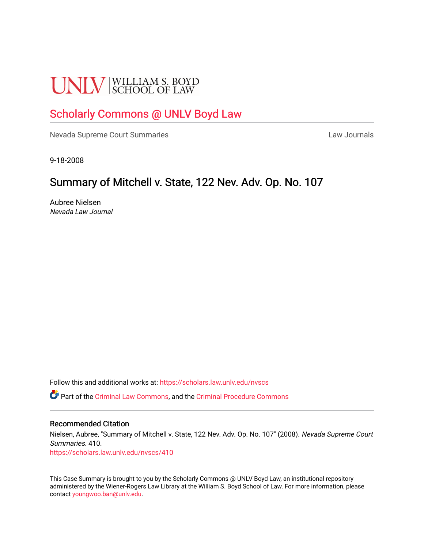# **UNLV** SCHOOL OF LAW

# [Scholarly Commons @ UNLV Boyd Law](https://scholars.law.unlv.edu/)

[Nevada Supreme Court Summaries](https://scholars.law.unlv.edu/nvscs) **Law Journals** Law Journals

9-18-2008

## Summary of Mitchell v. State, 122 Nev. Adv. Op. No. 107

Aubree Nielsen Nevada Law Journal

Follow this and additional works at: [https://scholars.law.unlv.edu/nvscs](https://scholars.law.unlv.edu/nvscs?utm_source=scholars.law.unlv.edu%2Fnvscs%2F410&utm_medium=PDF&utm_campaign=PDFCoverPages)

Part of the [Criminal Law Commons,](http://network.bepress.com/hgg/discipline/912?utm_source=scholars.law.unlv.edu%2Fnvscs%2F410&utm_medium=PDF&utm_campaign=PDFCoverPages) and the [Criminal Procedure Commons](http://network.bepress.com/hgg/discipline/1073?utm_source=scholars.law.unlv.edu%2Fnvscs%2F410&utm_medium=PDF&utm_campaign=PDFCoverPages)

#### Recommended Citation

Nielsen, Aubree, "Summary of Mitchell v. State, 122 Nev. Adv. Op. No. 107" (2008). Nevada Supreme Court Summaries. 410.

[https://scholars.law.unlv.edu/nvscs/410](https://scholars.law.unlv.edu/nvscs/410?utm_source=scholars.law.unlv.edu%2Fnvscs%2F410&utm_medium=PDF&utm_campaign=PDFCoverPages)

This Case Summary is brought to you by the Scholarly Commons @ UNLV Boyd Law, an institutional repository administered by the Wiener-Rogers Law Library at the William S. Boyd School of Law. For more information, please contact [youngwoo.ban@unlv.edu](mailto:youngwoo.ban@unlv.edu).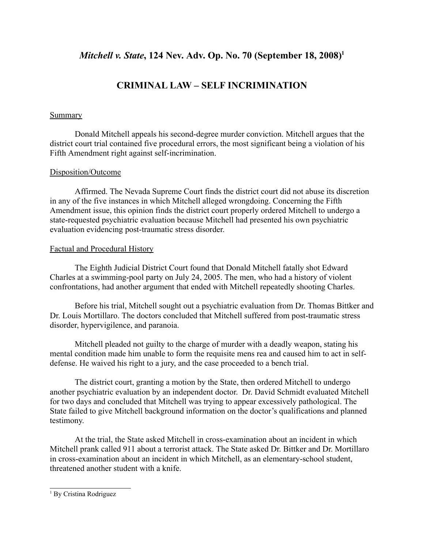### *Mitchell v. State*, 124 Nev. Adv. Op. No. 70 (September 18, 2008)<sup>1</sup>

## **CRIMINAL LAW – SELF INCRIMINATION**

#### Summary

Donald Mitchell appeals his second-degree murder conviction. Mitchell argues that the district court trial contained five procedural errors, the most significant being a violation of his Fifth Amendment right against self-incrimination.

#### Disposition/Outcome

Affirmed. The Nevada Supreme Court finds the district court did not abuse its discretion in any of the five instances in which Mitchell alleged wrongdoing. Concerning the Fifth Amendment issue, this opinion finds the district court properly ordered Mitchell to undergo a state-requested psychiatric evaluation because Mitchell had presented his own psychiatric evaluation evidencing post-traumatic stress disorder.

#### Factual and Procedural History

The Eighth Judicial District Court found that Donald Mitchell fatally shot Edward Charles at a swimming-pool party on July 24, 2005. The men, who had a history of violent confrontations, had another argument that ended with Mitchell repeatedly shooting Charles.

Before his trial, Mitchell sought out a psychiatric evaluation from Dr. Thomas Bittker and Dr. Louis Mortillaro. The doctors concluded that Mitchell suffered from post-traumatic stress disorder, hypervigilence, and paranoia.

Mitchell pleaded not guilty to the charge of murder with a deadly weapon, stating his mental condition made him unable to form the requisite mens rea and caused him to act in selfdefense. He waived his right to a jury, and the case proceeded to a bench trial.

The district court, granting a motion by the State, then ordered Mitchell to undergo another psychiatric evaluation by an independent doctor. Dr. David Schmidt evaluated Mitchell for two days and concluded that Mitchell was trying to appear excessively pathological. The State failed to give Mitchell background information on the doctor's qualifications and planned testimony.

At the trial, the State asked Mitchell in cross-examination about an incident in which Mitchell prank called 911 about a terrorist attack. The State asked Dr. Bittker and Dr. Mortillaro in cross-examination about an incident in which Mitchell, as an elementary-school student, threatened another student with a knife.

<sup>&</sup>lt;sup>1</sup> By Cristina Rodriguez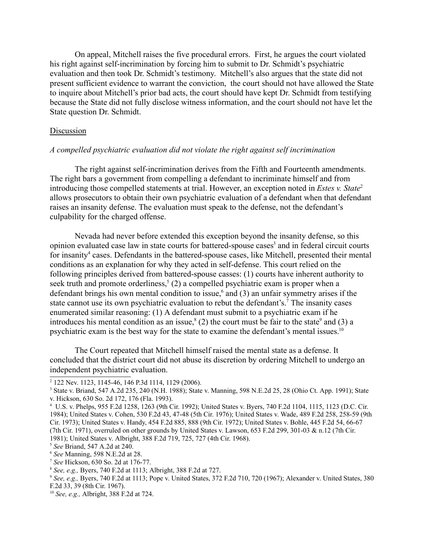On appeal, Mitchell raises the five procedural errors. First, he argues the court violated his right against self-incrimination by forcing him to submit to Dr. Schmidt's psychiatric evaluation and then took Dr. Schmidt's testimony. Mitchell's also argues that the state did not present sufficient evidence to warrant the conviction, the court should not have allowed the State to inquire about Mitchell's prior bad acts, the court should have kept Dr. Schmidt from testifying because the State did not fully disclose witness information, and the court should not have let the State question Dr. Schmidt.

#### Discussion

#### *A compelled psychiatric evaluation did not violate the right against self incrimination*

The right against self-incrimination derives from the Fifth and Fourteenth amendments. The right bars a government from compelling a defendant to incriminate himself and from introducing those compelled statements at trial. However, an exception noted in *Estes v. State*<sup>2</sup> allows prosecutors to obtain their own psychiatric evaluation of a defendant when that defendant raises an insanity defense. The evaluation must speak to the defense, not the defendant's culpability for the charged offense.

Nevada had never before extended this exception beyond the insanity defense, so this opinion evaluated case law in state courts for battered-spouse cases<sup>3</sup> and in federal circuit courts for insanity<sup>4</sup> cases. Defendants in the battered-spouse cases, like Mitchell, presented their mental conditions as an explanation for why they acted in self-defense. This court relied on the following principles derived from battered-spouse casses: (1) courts have inherent authority to seek truth and promote orderliness,<sup>5</sup> (2) a compelled psychiatric exam is proper when a defendant brings his own mental condition to issue,<sup>6</sup> and (3) an unfair symmetry arises if the state cannot use its own psychiatric evaluation to rebut the defendant's.<sup>7</sup> The insanity cases enumerated similar reasoning: (1) A defendant must submit to a psychiatric exam if he introduces his mental condition as an issue,<sup>8</sup> (2) the court must be fair to the state<sup>9</sup> and (3) a psychiatric exam is the best way for the state to examine the defendant's mental issues.10

The Court repeated that Mitchell himself raised the mental state as a defense. It concluded that the district court did not abuse its discretion by ordering Mitchell to undergo an independent psychiatric evaluation.

<sup>2</sup> 122 Nev. 1123, 1145-46, 146 P.3d 1114, 1129 (2006).

<sup>3</sup> State v. Briand, 547 A.2d 235, 240 (N.H. 1988); State v. Manning, 598 N.E.2d 25, 28 (Ohio Ct. App. 1991); State v. Hickson, 630 So. 2d 172, 176 (Fla. 1993).

<sup>4</sup> U.S. v. Phelps, 955 F.2d 1258, 1263 (9th Cir. 1992); United States v. Byers, 740 F.2d 1104, 1115, 1123 (D.C. Cir. 1984); United States v. Cohen, 530 F.2d 43, 47-48 (5th Cir. 1976); United States v. Wade, 489 F.2d 258, 258-59 (9th Cir. 1973); United States v. Handy, 454 F.2d 885, 888 (9th Cir. 1972); United States v. Bohle, 445 F.2d 54, 66-67 (7th Cir. 1971), overruled on other grounds by United States v. Lawson, 653 F.2d 299, 301-03 & n.12 (7th Cir. 1981); United States v. Albright, 388 F.2d 719, 725, 727 (4th Cir. 1968).

<sup>5</sup> *See* Briand, 547 A.2d at 240.

<sup>6</sup> *See* Manning, 598 N.E.2d at 28.

<sup>7</sup> *See* Hickson, 630 So. 2d at 176-77.

<sup>8</sup> *See, e.g.,* Byers, 740 F.2d at 1113; Albright, 388 F.2d at 727.

<sup>9</sup> *See, e.g.,* Byers, 740 F.2d at 1113; Pope v. United States, 372 F.2d 710, 720 (1967); Alexander v. United States, 380 F.2d 33, 39 (8th Cir. 1967).

<sup>10</sup> *See, e.g.,* Albright, 388 F.2d at 724.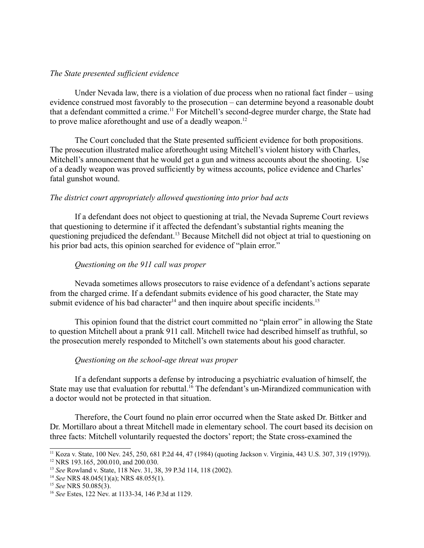#### *The State presented sufficient evidence*

Under Nevada law, there is a violation of due process when no rational fact finder – using evidence construed most favorably to the prosecution – can determine beyond a reasonable doubt that a defendant committed a crime.11 For Mitchell's second-degree murder charge, the State had to prove malice aforethought and use of a deadly weapon.<sup>12</sup>

The Court concluded that the State presented sufficient evidence for both propositions. The prosecution illustrated malice aforethought using Mitchell's violent history with Charles, Mitchell's announcement that he would get a gun and witness accounts about the shooting. Use of a deadly weapon was proved sufficiently by witness accounts, police evidence and Charles' fatal gunshot wound.

#### *The district court appropriately allowed questioning into prior bad acts*

If a defendant does not object to questioning at trial, the Nevada Supreme Court reviews that questioning to determine if it affected the defendant's substantial rights meaning the questioning prejudiced the defendant.<sup>13</sup> Because Mitchell did not object at trial to questioning on his prior bad acts, this opinion searched for evidence of "plain error."

#### *Questioning on the 911 call was proper*

Nevada sometimes allows prosecutors to raise evidence of a defendant's actions separate from the charged crime. If a defendant submits evidence of his good character, the State may submit evidence of his bad character<sup>14</sup> and then inquire about specific incidents.<sup>15</sup>

This opinion found that the district court committed no "plain error" in allowing the State to question Mitchell about a prank 911 call. Mitchell twice had described himself as truthful, so the prosecution merely responded to Mitchell's own statements about his good character.

#### *Questioning on the school-age threat was proper*

If a defendant supports a defense by introducing a psychiatric evaluation of himself, the State may use that evaluation for rebuttal.<sup>16</sup> The defendant's un-Mirandized communication with a doctor would not be protected in that situation.

Therefore, the Court found no plain error occurred when the State asked Dr. Bittker and Dr. Mortillaro about a threat Mitchell made in elementary school. The court based its decision on three facts: Mitchell voluntarily requested the doctors' report; the State cross-examined the

<sup>11</sup> Koza v. State, 100 Nev. 245, 250, 681 P.2d 44, 47 (1984) (quoting Jackson v. Virginia, 443 U.S. 307, 319 (1979)). <sup>12</sup> NRS 193.165, 200.010, and 200.030.

<sup>13</sup> *See* Rowland v. State, 118 Nev. 31, 38, 39 P.3d 114, 118 (2002).

<sup>14</sup> *See* NRS 48.045(1)(a); NRS 48.055(1).

<sup>15</sup> *See* NRS 50.085(3).

<sup>16</sup> *See* Estes, 122 Nev. at 1133-34, 146 P.3d at 1129.